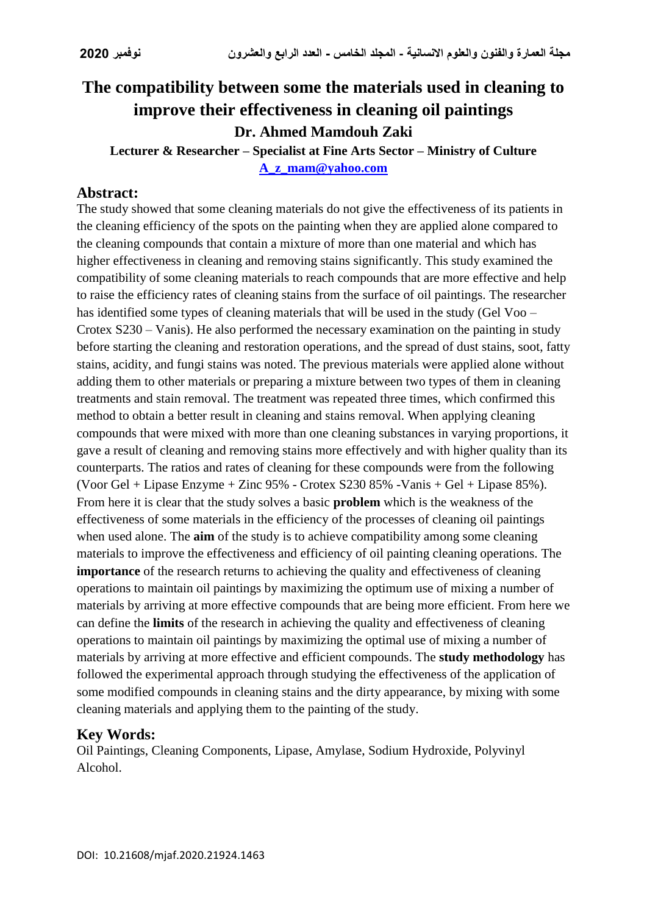# **The compatibility between some the materials used in cleaning to improve their effectiveness in cleaning oil paintings Dr. Ahmed Mamdouh Zaki**

**Lecturer & Researcher – Specialist at Fine Arts Sector – Ministry of Culture [A\\_z\\_mam@yahoo.com](mailto:A_z_mam@yahoo.com)**

#### **Abstract:**

The study showed that some cleaning materials do not give the effectiveness of its patients in the cleaning efficiency of the spots on the painting when they are applied alone compared to the cleaning compounds that contain a mixture of more than one material and which has higher effectiveness in cleaning and removing stains significantly. This study examined the compatibility of some cleaning materials to reach compounds that are more effective and help to raise the efficiency rates of cleaning stains from the surface of oil paintings. The researcher has identified some types of cleaning materials that will be used in the study (Gel Voo – Crotex S230 – Vanis). He also performed the necessary examination on the painting in study before starting the cleaning and restoration operations, and the spread of dust stains, soot, fatty stains, acidity, and fungi stains was noted. The previous materials were applied alone without adding them to other materials or preparing a mixture between two types of them in cleaning treatments and stain removal. The treatment was repeated three times, which confirmed this method to obtain a better result in cleaning and stains removal. When applying cleaning compounds that were mixed with more than one cleaning substances in varying proportions, it gave a result of cleaning and removing stains more effectively and with higher quality than its counterparts. The ratios and rates of cleaning for these compounds were from the following (Voor Gel + Lipase Enzyme + Zinc 95% - Crotex S230 85% -Vanis + Gel + Lipase 85%). From here it is clear that the study solves a basic **problem** which is the weakness of the effectiveness of some materials in the efficiency of the processes of cleaning oil paintings when used alone. The **aim** of the study is to achieve compatibility among some cleaning materials to improve the effectiveness and efficiency of oil painting cleaning operations. The **importance** of the research returns to achieving the quality and effectiveness of cleaning operations to maintain oil paintings by maximizing the optimum use of mixing a number of materials by arriving at more effective compounds that are being more efficient. From here we can define the **limits** of the research in achieving the quality and effectiveness of cleaning operations to maintain oil paintings by maximizing the optimal use of mixing a number of materials by arriving at more effective and efficient compounds. The **study methodology** has followed the experimental approach through studying the effectiveness of the application of some modified compounds in cleaning stains and the dirty appearance, by mixing with some cleaning materials and applying them to the painting of the study.

### **Key Words:**

Oil Paintings, Cleaning Components, Lipase, Amylase, Sodium Hydroxide, Polyvinyl Alcohol.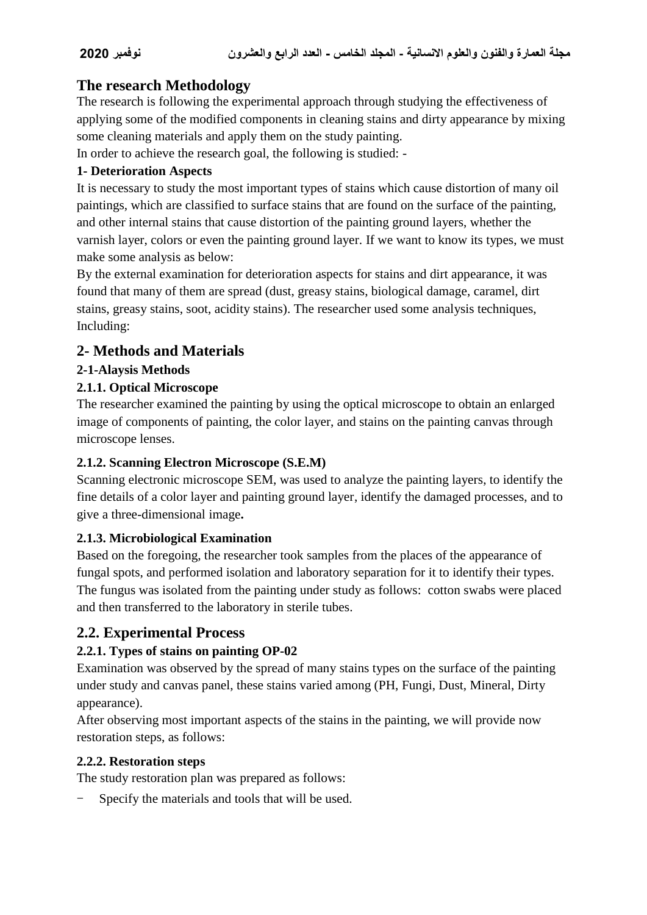# **The research Methodology**

The research is following the experimental approach through studying the effectiveness of applying some of the modified components in cleaning stains and dirty appearance by mixing some cleaning materials and apply them on the study painting.

In order to achieve the research goal, the following is studied: -

#### **1- Deterioration Aspects**

It is necessary to study the most important types of stains which cause distortion of many oil paintings, which are classified to surface stains that are found on the surface of the painting, and other internal stains that cause distortion of the painting ground layers, whether the varnish layer, colors or even the painting ground layer. If we want to know its types, we must make some analysis as below:

By the external examination for deterioration aspects for stains and dirt appearance, it was found that many of them are spread (dust, greasy stains, biological damage, caramel, dirt stains, greasy stains, soot, acidity stains). The researcher used some analysis techniques, Including:

# **2- Methods and Materials**

#### **2-1-Alaysis Methods**

#### **2.1.1. Optical Microscope**

The researcher examined the painting by using the optical microscope to obtain an enlarged image of components of painting, the color layer, and stains on the painting canvas through microscope lenses.

#### **2.1.2. Scanning Electron Microscope (S.E.M)**

Scanning electronic microscope SEM, was used to analyze the painting layers, to identify the fine details of a color layer and painting ground layer, identify the damaged processes, and to give a three-dimensional image**.**

#### **2.1.3. Microbiological Examination**

Based on the foregoing, the researcher took samples from the places of the appearance of fungal spots, and performed isolation and laboratory separation for it to identify their types. The fungus was isolated from the painting under study as follows: cotton swabs were placed and then transferred to the laboratory in sterile tubes.

# **2.2. Experimental Process**

### **2.2.1. Types of stains on painting OP-02**

Examination was observed by the spread of many stains types on the surface of the painting under study and canvas panel, these stains varied among (PH, Fungi, Dust, Mineral, Dirty appearance).

After observing most important aspects of the stains in the painting, we will provide now restoration steps, as follows:

#### **2.2.2. Restoration steps**

The study restoration plan was prepared as follows:

Specify the materials and tools that will be used.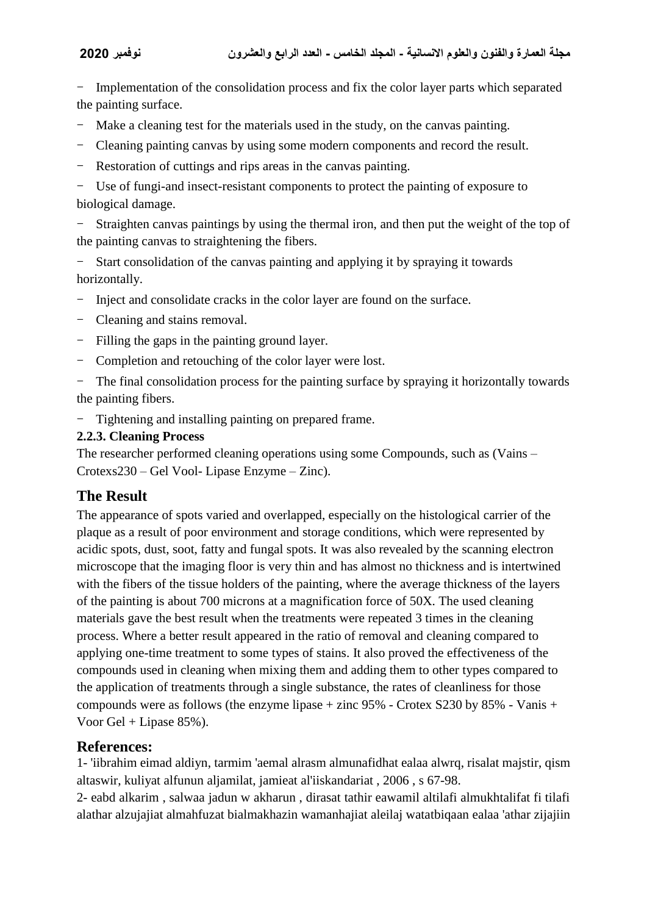- Implementation of the consolidation process and fix the color layer parts which separated the painting surface.

- Make a cleaning test for the materials used in the study, on the canvas painting.
- Cleaning painting canvas by using some modern components and record the result.
- Restoration of cuttings and rips areas in the canvas painting.

- Use of fungi-and insect-resistant components to protect the painting of exposure to biological damage.

Straighten canvas paintings by using the thermal iron, and then put the weight of the top of the painting canvas to straightening the fibers.

- Start consolidation of the canvas painting and applying it by spraying it towards horizontally.

- Inject and consolidate cracks in the color layer are found on the surface.
- Cleaning and stains removal.
- Filling the gaps in the painting ground layer.
- Completion and retouching of the color layer were lost.

- The final consolidation process for the painting surface by spraying it horizontally towards the painting fibers.

- Tightening and installing painting on prepared frame.

#### **2.2.3. Cleaning Process**

The researcher performed cleaning operations using some Compounds, such as (Vains – Crotexs230 – Gel Vool- Lipase Enzyme – Zinc).

# **The Result**

The appearance of spots varied and overlapped, especially on the histological carrier of the plaque as a result of poor environment and storage conditions, which were represented by acidic spots, dust, soot, fatty and fungal spots. It was also revealed by the scanning electron microscope that the imaging floor is very thin and has almost no thickness and is intertwined with the fibers of the tissue holders of the painting, where the average thickness of the layers of the painting is about 700 microns at a magnification force of 50X. The used cleaning materials gave the best result when the treatments were repeated 3 times in the cleaning process. Where a better result appeared in the ratio of removal and cleaning compared to applying one-time treatment to some types of stains. It also proved the effectiveness of the compounds used in cleaning when mixing them and adding them to other types compared to the application of treatments through a single substance, the rates of cleanliness for those compounds were as follows (the enzyme lipase + zinc 95% - Crotex S230 by 85% - Vanis + Voor Gel + Lipase 85%).

### **References:**

1- 'iibrahim eimad aldiyn, tarmim 'aemal alrasm almunafidhat ealaa alwrq, risalat majstir, qism altaswir, kuliyat alfunun aljamilat, jamieat al'iiskandariat , 2006 , s 67-98.

2- eabd alkarim , salwaa jadun w akharun , dirasat tathir eawamil altilafi almukhtalifat fi tilafi alathar alzujajiat almahfuzat bialmakhazin wamanhajiat aleilaj watatbiqaan ealaa 'athar zijajiin